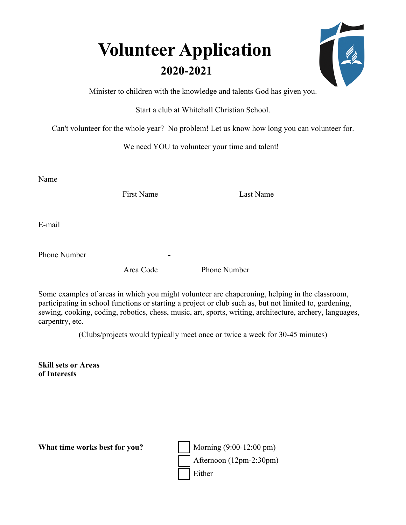## **Volunteer Application 2020-2021**

|  | Í |
|--|---|
|  |   |
|  |   |

Minister to children with the knowledge and talents God has given you.

Start a club at Whitehall Christian School.

Can't volunteer for the whole year? No problem! Let us know how long you can volunteer for.

We need YOU to volunteer your time and talent!

Name

First Name Last Name

E-mail

Phone Number

Area Code Phone Number

Some examples of areas in which you might volunteer are chaperoning, helping in the classroom, participating in school functions or starting a project or club such as, but not limited to, gardening, sewing, cooking, coding, robotics, chess, music, art, sports, writing, architecture, archery, languages, carpentry, etc.

(Clubs/projects would typically meet once or twice a week for 30-45 minutes)

**Skill sets or Areas of Interests** 

**What time works best for you?** | Morning (9:00-12:00 pm)

Afternoon (12pm-2:30pm) Either